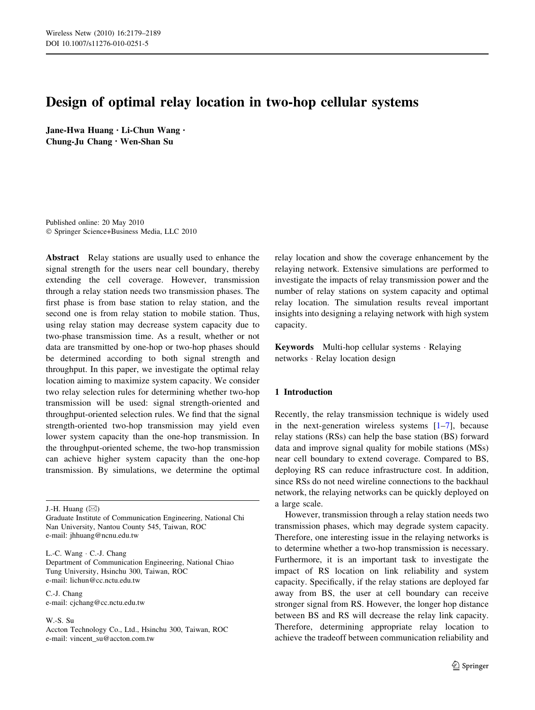# Design of optimal relay location in two-hop cellular systems

Jane-Hwa Huang • Li-Chun Wang • Chung-Ju Chang • Wen-Shan Su

Published online: 20 May 2010 - Springer Science+Business Media, LLC 2010

Abstract Relay stations are usually used to enhance the signal strength for the users near cell boundary, thereby extending the cell coverage. However, transmission through a relay station needs two transmission phases. The first phase is from base station to relay station, and the second one is from relay station to mobile station. Thus, using relay station may decrease system capacity due to two-phase transmission time. As a result, whether or not data are transmitted by one-hop or two-hop phases should be determined according to both signal strength and throughput. In this paper, we investigate the optimal relay location aiming to maximize system capacity. We consider two relay selection rules for determining whether two-hop transmission will be used: signal strength-oriented and throughput-oriented selection rules. We find that the signal strength-oriented two-hop transmission may yield even lower system capacity than the one-hop transmission. In the throughput-oriented scheme, the two-hop transmission can achieve higher system capacity than the one-hop transmission. By simulations, we determine the optimal

J.-H. Huang  $(\boxtimes)$ 

Graduate Institute of Communication Engineering, National Chi Nan University, Nantou County 545, Taiwan, ROC e-mail: jhhuang@ncnu.edu.tw

L.-C. Wang - C.-J. Chang Department of Communication Engineering, National Chiao Tung University, Hsinchu 300, Taiwan, ROC e-mail: lichun@cc.nctu.edu.tw

C.-J. Chang e-mail: cjchang@cc.nctu.edu.tw

W.-S. Su

Accton Technology Co., Ltd., Hsinchu 300, Taiwan, ROC e-mail: vincent\_su@accton.com.tw

relay location and show the coverage enhancement by the relaying network. Extensive simulations are performed to investigate the impacts of relay transmission power and the number of relay stations on system capacity and optimal relay location. The simulation results reveal important insights into designing a relaying network with high system capacity.

Keywords Multi-hop cellular systems - Relaying networks - Relay location design

## 1 Introduction

Recently, the relay transmission technique is widely used in the next-generation wireless systems  $[1-7]$ , because relay stations (RSs) can help the base station (BS) forward data and improve signal quality for mobile stations (MSs) near cell boundary to extend coverage. Compared to BS, deploying RS can reduce infrastructure cost. In addition, since RSs do not need wireline connections to the backhaul network, the relaying networks can be quickly deployed on a large scale.

However, transmission through a relay station needs two transmission phases, which may degrade system capacity. Therefore, one interesting issue in the relaying networks is to determine whether a two-hop transmission is necessary. Furthermore, it is an important task to investigate the impact of RS location on link reliability and system capacity. Specifically, if the relay stations are deployed far away from BS, the user at cell boundary can receive stronger signal from RS. However, the longer hop distance between BS and RS will decrease the relay link capacity. Therefore, determining appropriate relay location to achieve the tradeoff between communication reliability and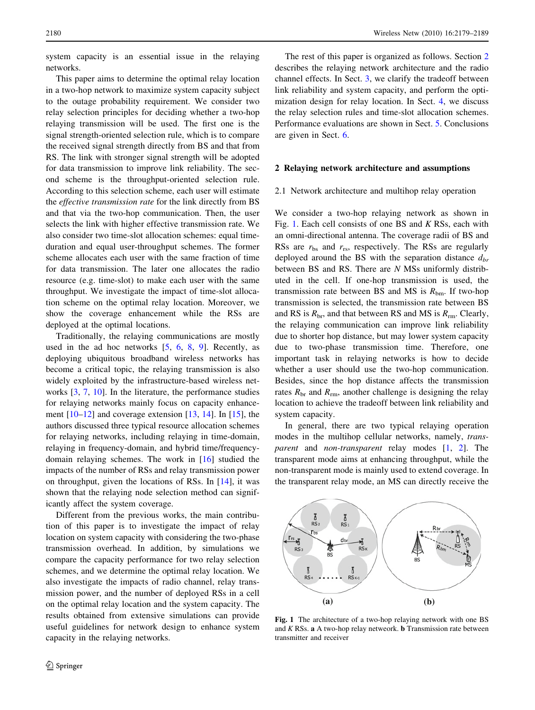<span id="page-1-0"></span>system capacity is an essential issue in the relaying networks.

This paper aims to determine the optimal relay location in a two-hop network to maximize system capacity subject to the outage probability requirement. We consider two relay selection principles for deciding whether a two-hop relaying transmission will be used. The first one is the signal strength-oriented selection rule, which is to compare the received signal strength directly from BS and that from RS. The link with stronger signal strength will be adopted for data transmission to improve link reliability. The second scheme is the throughput-oriented selection rule. According to this selection scheme, each user will estimate the effective transmission rate for the link directly from BS and that via the two-hop communication. Then, the user selects the link with higher effective transmission rate. We also consider two time-slot allocation schemes: equal timeduration and equal user-throughput schemes. The former scheme allocates each user with the same fraction of time for data transmission. The later one allocates the radio resource (e.g. time-slot) to make each user with the same throughput. We investigate the impact of time-slot allocation scheme on the optimal relay location. Moreover, we show the coverage enhancement while the RSs are deployed at the optimal locations.

Traditionally, the relaying communications are mostly used in the ad hoc networks  $[5, 6, 8, 9]$  $[5, 6, 8, 9]$  $[5, 6, 8, 9]$  $[5, 6, 8, 9]$  $[5, 6, 8, 9]$  $[5, 6, 8, 9]$  $[5, 6, 8, 9]$  $[5, 6, 8, 9]$ . Recently, as deploying ubiquitous broadband wireless networks has become a critical topic, the relaying transmission is also widely exploited by the infrastructure-based wireless networks [[3,](#page-8-0) [7,](#page-8-0) [10](#page-8-0)]. In the literature, the performance studies for relaying networks mainly focus on capacity enhancement  $[10-12]$  $[10-12]$  and coverage extension  $[13, 14]$  $[13, 14]$  $[13, 14]$  $[13, 14]$ . In  $[15]$  $[15]$ , the authors discussed three typical resource allocation schemes for relaying networks, including relaying in time-domain, relaying in frequency-domain, and hybrid time/frequencydomain relaying schemes. The work in [\[16](#page-9-0)] studied the impacts of the number of RSs and relay transmission power on throughput, given the locations of RSs. In [\[14](#page-9-0)], it was shown that the relaying node selection method can significantly affect the system coverage.

Different from the previous works, the main contribution of this paper is to investigate the impact of relay location on system capacity with considering the two-phase transmission overhead. In addition, by simulations we compare the capacity performance for two relay selection schemes, and we determine the optimal relay location. We also investigate the impacts of radio channel, relay transmission power, and the number of deployed RSs in a cell on the optimal relay location and the system capacity. The results obtained from extensive simulations can provide useful guidelines for network design to enhance system capacity in the relaying networks.

The rest of this paper is organized as follows. Section 2 describes the relaying network architecture and the radio channel effects. In Sect. [3,](#page-3-0) we clarify the tradeoff between link reliability and system capacity, and perform the optimization design for relay location. In Sect. [4,](#page-3-0) we discuss the relay selection rules and time-slot allocation schemes. Performance evaluations are shown in Sect. [5.](#page-5-0) Conclusions are given in Sect. [6](#page-8-0).

## 2 Relaying network architecture and assumptions

#### 2.1 Network architecture and multihop relay operation

We consider a two-hop relaying network as shown in Fig. 1. Each cell consists of one BS and  $K$  RSs, each with an omni-directional antenna. The coverage radii of BS and RSs are  $r_{\rm bs}$  and  $r_{\rm rs}$ , respectively. The RSs are regularly deployed around the BS with the separation distance  $d_{br}$ between BS and RS. There are N MSs uniformly distributed in the cell. If one-hop transmission is used, the transmission rate between BS and MS is  $R_{bm}$ . If two-hop transmission is selected, the transmission rate between BS and RS is  $R_{\text{br}}$ , and that between RS and MS is  $R_{\text{rm}}$ . Clearly, the relaying communication can improve link reliability due to shorter hop distance, but may lower system capacity due to two-phase transmission time. Therefore, one important task in relaying networks is how to decide whether a user should use the two-hop communication. Besides, since the hop distance affects the transmission rates  $R_{\rm br}$  and  $R_{\rm rm}$ , another challenge is designing the relay location to achieve the tradeoff between link reliability and system capacity.

In general, there are two typical relaying operation modes in the multihop cellular networks, namely, trans-parent and non-transparent relay modes [\[1](#page-8-0), [2\]](#page-8-0). The transparent mode aims at enhancing throughput, while the non-transparent mode is mainly used to extend coverage. In the transparent relay mode, an MS can directly receive the



Fig. 1 The architecture of a two-hop relaying network with one BS and  $K$  RSs.  $\bf{a}$  A two-hop relay netweork. **b** Transmission rate between transmitter and receiver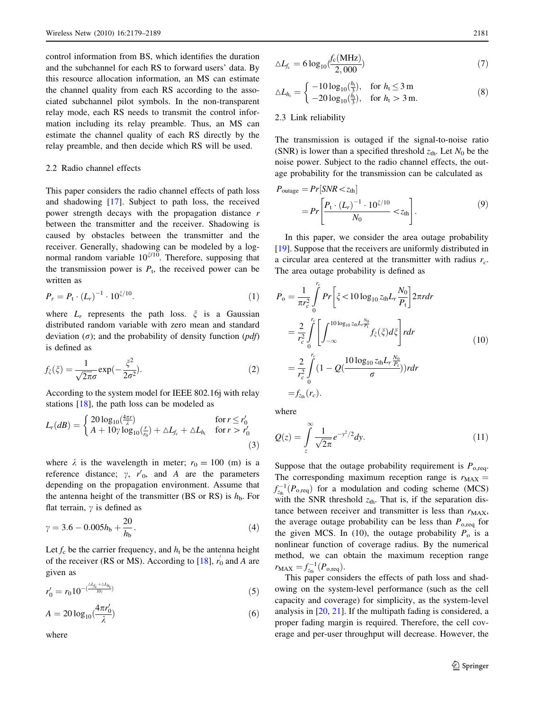<span id="page-2-0"></span>control information from BS, which identifies the duration and the subchannel for each RS to forward users' data. By this resource allocation information, an MS can estimate the channel quality from each RS according to the associated subchannel pilot symbols. In the non-transparent relay mode, each RS needs to transmit the control information including its relay preamble. Thus, an MS can estimate the channel quality of each RS directly by the relay preamble, and then decide which RS will be used.

## 2.2 Radio channel effects

This paper considers the radio channel effects of path loss and shadowing [[17](#page-9-0)]. Subject to path loss, the received power strength decays with the propagation distance r between the transmitter and the receiver. Shadowing is caused by obstacles between the transmitter and the receiver. Generally, shadowing can be modeled by a lognormal random variable  $10^{2/10}$ . Therefore, supposing that the transmission power is  $P_t$ , the received power can be written as

$$
P_r = P_t \cdot (L_r)^{-1} \cdot 10^{\xi/10}.
$$
 (1)

where  $L_r$  represents the path loss.  $\xi$  is a Gaussian distributed random variable with zero mean and standard deviation  $(\sigma)$ ; and the probability of density function  $(pdf)$ is defined as

$$
f_{\xi}(\xi) = \frac{1}{\sqrt{2\pi}\sigma} \exp(-\frac{\xi^2}{2\sigma^2}).
$$
 (2)

According to the system model for IEEE 802.16j with relay stations [\[18](#page-9-0)], the path loss can be modeled as

$$
L_r(dB) = \begin{cases} 20\log_{10}(\frac{4\pi r}{\lambda}) & \text{for } r \leq r'_0\\ A + 10\gamma \log_{10}(\frac{r}{r_0}) + \Delta L_{f_c} + \Delta L_{h_t} & \text{for } r > r'_0 \end{cases}
$$
(3)

where  $\lambda$  is the wavelength in meter;  $r_0 = 100$  (m) is a reference distance;  $\gamma$ ,  $r'_{0}$ , and A are the parameters depending on the propagation environment. Assume that the antenna height of the transmitter (BS or RS) is  $h<sub>b</sub>$ . For flat terrain,  $\gamma$  is defined as

$$
\gamma = 3.6 - 0.005h_{\rm b} + \frac{20}{h_{\rm b}}.\tag{4}
$$

Let  $f_c$  be the carrier frequency, and  $h_t$  be the antenna height of the receiver (RS or MS). According to [\[18](#page-9-0)],  $r'_0$  and A are given as

$$
r'_0 = r_0 10^{-\left(\frac{\Delta L_{fc} + \Delta L_{h_1}}{10\gamma}\right)}\tag{5}
$$

$$
A = 20\log_{10}\left(\frac{4\pi r_0'}{\lambda}\right) \tag{6}
$$

where

$$
\Delta L_{f_c} = 6 \log_{10} \left( \frac{f_c(\text{MHz})}{2,000} \right) \tag{7}
$$

$$
\triangle L_{h_{t}} = \begin{cases}\n-10 \log_{10}(\frac{h_{t}}{3}), & \text{for } h_{t} \le 3 \text{ m} \\
-20 \log_{10}(\frac{h_{t}}{3}), & \text{for } h_{t} > 3 \text{ m}.\n\end{cases}
$$
\n(8)

### 2.3 Link reliability

The transmission is outaged if the signal-to-noise ratio (SNR) is lower than a specified threshold  $z_{\text{th}}$ . Let  $N_0$  be the noise power. Subject to the radio channel effects, the outage probability for the transmission can be calculated as

$$
P_{\text{outage}} = Pr[SNR < z_{\text{th}}]
$$
  
= 
$$
Pr\left[\frac{P_{\text{t}} \cdot (L_r)^{-1} \cdot 10^{\zeta/10}}{N_0} < z_{\text{th}}\right].
$$
 (9)

In this paper, we consider the area outage probability [\[19](#page-9-0)]. Suppose that the receivers are uniformly distributed in a circular area centered at the transmitter with radius  $r_c$ . The area outage probability is defined as

$$
P_{o} = \frac{1}{\pi r_{c}^{2}} \int_{0}^{r_{c}} Pr\left[\xi < 10 \log_{10} z_{th} L_{r} \frac{N_{0}}{P_{t}}\right] 2\pi r dr
$$
  
\n
$$
= \frac{2}{r_{c}^{2}} \int_{0}^{r_{c}} \left[ \int_{-\infty}^{10 \log_{10} z_{th} L_{r} \frac{N_{0}}{P_{t}} f_{\xi}(\xi) d\xi \right] r dr
$$
  
\n
$$
= \frac{2}{r_{c}^{2}} \int_{0}^{r_{c}} (1 - Q(\frac{10 \log_{10} z_{th} L_{r} \frac{N_{0}}{P_{t}}}{\sigma})) r dr
$$
  
\n
$$
= f_{z_{th}}(r_{c}).
$$
  
\n(10)

where

$$
Q(z) = \int_{z}^{\infty} \frac{1}{\sqrt{2\pi}} e^{-y^2/2} dy.
$$
 (11)

Suppose that the outage probability requirement is  $P_{\text{o,rea}}$ . The corresponding maximum reception range is  $r_{MAX}$  =  $f_{z_{\text{th}}}^{-1}(P_{\text{o,req}})$  for a modulation and coding scheme (MCS) with the SNR threshold  $z<sub>th</sub>$ . That is, if the separation distance between receiver and transmitter is less than  $r_{MAX}$ , the average outage probability can be less than  $P_{\text{o,req}}$  for the given MCS. In (10), the outage probability  $P_0$  is a nonlinear function of coverage radius. By the numerical method, we can obtain the maximum reception range  $r_{MAX} = f_{z_{th}}^{-1}(P_{o,req}).$ 

This paper considers the effects of path loss and shadowing on the system-level performance (such as the cell capacity and coverage) for simplicity, as the system-level analysis in [[20,](#page-9-0) [21\]](#page-9-0). If the multipath fading is considered, a proper fading margin is required. Therefore, the cell coverage and per-user throughput will decrease. However, the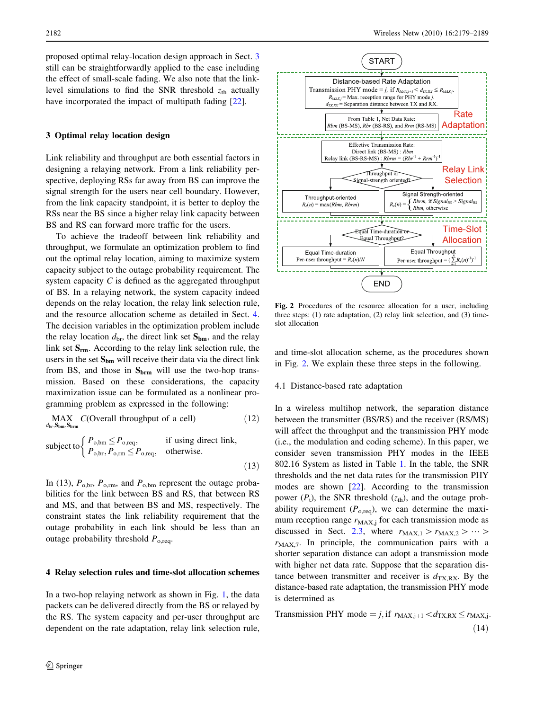<span id="page-3-0"></span>proposed optimal relay-location design approach in Sect. 3 still can be straightforwardly applied to the case including the effect of small-scale fading. We also note that the linklevel simulations to find the SNR threshold  $z<sub>th</sub>$  actually have incorporated the impact of multipath fading [\[22](#page-9-0)].

### 3 Optimal relay location design

Link reliability and throughput are both essential factors in designing a relaying network. From a link reliability perspective, deploying RSs far away from BS can improve the signal strength for the users near cell boundary. However, from the link capacity standpoint, it is better to deploy the RSs near the BS since a higher relay link capacity between BS and RS can forward more traffic for the users.

To achieve the tradeoff between link reliability and throughput, we formulate an optimization problem to find out the optimal relay location, aiming to maximize system capacity subject to the outage probability requirement. The system capacity C is defined as the aggregated throughput of BS. In a relaying network, the system capacity indeed depends on the relay location, the relay link selection rule, and the resource allocation scheme as detailed in Sect. 4. The decision variables in the optimization problem include the relay location  $d_{\text{br}}$ , the direct link set  $S_{bm}$ , and the relay link set  $S_{rm}$ . According to the relay link selection rule, the users in the set  $S_{bm}$  will receive their data via the direct link from BS, and those in  $S_{\text{brm}}$  will use the two-hop transmission. Based on these considerations, the capacity maximization issue can be formulated as a nonlinear programming problem as expressed in the following:

MAX 
$$
C(\text{Overall throughput of a cell})
$$
 (12)  
\n $d_{\text{br}}, S_{\text{brm}}, S_{\text{brm}}$  (P,  $\langle P \rangle$  if using direct link

subject to 
$$
\begin{cases} P_{\text{o,bm}} \leq P_{\text{o,req}}, & \text{if using direct link,} \\ P_{\text{o,br}}, P_{\text{o,rm}} \leq P_{\text{o,req}}, & \text{otherwise.} \end{cases}
$$
 (13)

In (13),  $P_{\text{o,br}}$ ,  $P_{\text{o,rm}}$ , and  $P_{\text{o,bm}}$  represent the outage probabilities for the link between BS and RS, that between RS and MS, and that between BS and MS, respectively. The constraint states the link reliability requirement that the outage probability in each link should be less than an outage probability threshold  $P_{\text{o,rea}}$ .

#### 4 Relay selection rules and time-slot allocation schemes

In a two-hop relaying network as shown in Fig. [1,](#page-1-0) the data packets can be delivered directly from the BS or relayed by the RS. The system capacity and per-user throughput are dependent on the rate adaptation, relay link selection rule,



Fig. 2 Procedures of the resource allocation for a user, including three steps: (1) rate adaptation, (2) relay link selection, and (3) timeslot allocation

and time-slot allocation scheme, as the procedures shown in Fig. 2. We explain these three steps in the following.

## 4.1 Distance-based rate adaptation

In a wireless multihop network, the separation distance between the transmitter (BS/RS) and the receiver (RS/MS) will affect the throughput and the transmission PHY mode (i.e., the modulation and coding scheme). In this paper, we consider seven transmission PHY modes in the IEEE 802.16 System as listed in Table [1.](#page-4-0) In the table, the SNR thresholds and the net data rates for the transmission PHY modes are shown [[22\]](#page-9-0). According to the transmission power  $(P_t)$ , the SNR threshold  $(z<sub>th</sub>)$ , and the outage probability requirement  $(P<sub>o,rea</sub>)$ , we can determine the maximum reception range  $r_{MAX,j}$  for each transmission mode as discussed in Sect. [2.3](#page-2-0), where  $r_{\text{MAX},1} > r_{\text{MAX},2} > \cdots$  $r_{MAX,7}$ . In principle, the communication pairs with a shorter separation distance can adopt a transmission mode with higher net data rate. Suppose that the separation distance between transmitter and receiver is  $d_{\text{TX,RX}}$ . By the distance-based rate adaptation, the transmission PHY mode is determined as

Transmission PHY mode = j, if  $r_{MAX,i+1} < d_{TX,RX} \le r_{MAX,i}$ .  $(14)$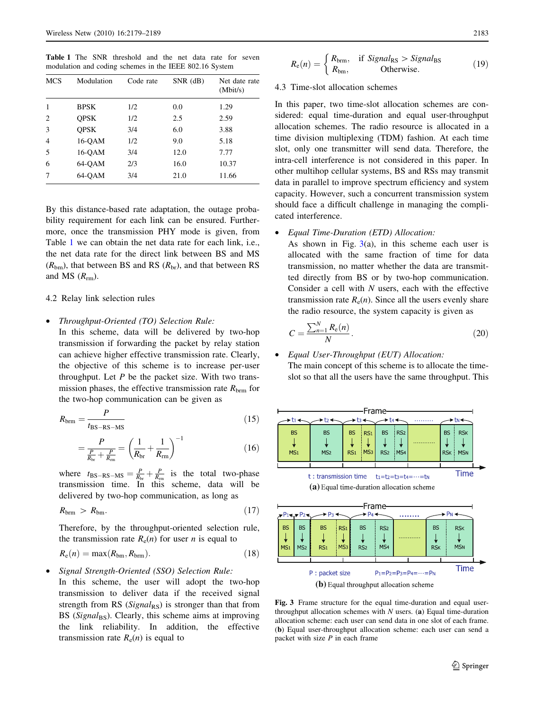<span id="page-4-0"></span>Table 1 The SNR threshold and the net data rate for seven modulation and coding schemes in the IEEE 802.16 System

| <b>MCS</b>     | Modulation  | Code rate | $SNR$ (dB) | Net date rate<br>(Mbit/s) |
|----------------|-------------|-----------|------------|---------------------------|
|                | <b>BPSK</b> | 1/2       | 0.0        | 1.29                      |
| $\overline{c}$ | <b>OPSK</b> | 1/2       | 2.5        | 2.59                      |
| 3              | <b>OPSK</b> | 3/4       | 6.0        | 3.88                      |
| 4              | 16-OAM      | 1/2       | 9.0        | 5.18                      |
| 5              | 16-OAM      | 3/4       | 12.0       | 7.77                      |
| 6              | 64-OAM      | 2/3       | 16.0       | 10.37                     |
| 7              | 64-OAM      | 3/4       | 21.0       | 11.66                     |

By this distance-based rate adaptation, the outage probability requirement for each link can be ensured. Furthermore, once the transmission PHY mode is given, from Table 1 we can obtain the net data rate for each link, i.e., the net data rate for the direct link between BS and MS  $(R_{bm})$ , that between BS and RS  $(R_{\text{br}})$ , and that between RS and MS  $(R_{rm}$ ).

## 4.2 Relay link selection rules

• Throughput-Oriented (TO) Selection Rule:

In this scheme, data will be delivered by two-hop transmission if forwarding the packet by relay station can achieve higher effective transmission rate. Clearly, the objective of this scheme is to increase per-user throughput. Let  $P$  be the packet size. With two transmission phases, the effective transmission rate  $R_{\rm brm}$  for the two-hop communication can be given as

$$
R_{\text{brm}} = \frac{P}{t_{\text{BS}-\text{RS}-\text{MS}}} \tag{15}
$$

$$
=\frac{P}{\frac{P}{R_{\text{br}}} + \frac{P}{R_{\text{m}}}} = \left(\frac{1}{R_{\text{br}}} + \frac{1}{R_{\text{rm}}}\right)^{-1}
$$
(16)

where  $t_{\text{BS-RS-MS}} = \frac{P}{R_{\text{br}}} + \frac{P}{R_{\text{cm}}}$  is the total two-phase transmission time. In this scheme, data will be delivered by two-hop communication, as long as

$$
R_{\rm brm} > R_{\rm bm}.\tag{17}
$$

Therefore, by the throughput-oriented selection rule, the transmission rate  $R_e(n)$  for user *n* is equal to

$$
R_{\rm e}(n) = \max(R_{\rm bm}, R_{\rm brm}).\tag{18}
$$

• Signal Strength-Oriented (SSO) Selection Rule:

In this scheme, the user will adopt the two-hop transmission to deliver data if the received signal strength from RS ( $Signal_{RS}$ ) is stronger than that from BS ( $Signal_{BS}$ ). Clearly, this scheme aims at improving the link reliability. In addition, the effective transmission rate  $R_e(n)$  is equal to

$$
R_{\rm e}(n) = \begin{cases} R_{\rm brm}, & \text{if } Signal_{\rm RS} > Signal_{\rm BS} \\ R_{\rm bm}, & \text{Otherwise.} \end{cases}
$$
 (19)

## 4.3 Time-slot allocation schemes

In this paper, two time-slot allocation schemes are considered: equal time-duration and equal user-throughput allocation schemes. The radio resource is allocated in a time division multiplexing (TDM) fashion. At each time slot, only one transmitter will send data. Therefore, the intra-cell interference is not considered in this paper. In other multihop cellular systems, BS and RSs may transmit data in parallel to improve spectrum efficiency and system capacity. However, such a concurrent transmission system should face a difficult challenge in managing the complicated interference.

#### • Equal Time-Duration (ETD) Allocation:

As shown in Fig.  $3(a)$ , in this scheme each user is allocated with the same fraction of time for data transmission, no matter whether the data are transmitted directly from BS or by two-hop communication. Consider a cell with  $N$  users, each with the effective transmission rate  $R_e(n)$ . Since all the users evenly share the radio resource, the system capacity is given as

$$
C = \frac{\sum_{n=1}^{N} R_{e}(n)}{N}.
$$
 (20)

# • Equal User-Throughput (EUT) Allocation: The main concept of this scheme is to allocate the timeslot so that all the users have the same throughput. This





Fig. 3 Frame structure for the equal time-duration and equal userthroughput allocation schemes with  $N$  users. (a) Equal time-duration allocation scheme: each user can send data in one slot of each frame. (b) Equal user-throughput allocation scheme: each user can send a packet with size  $P$  in each frame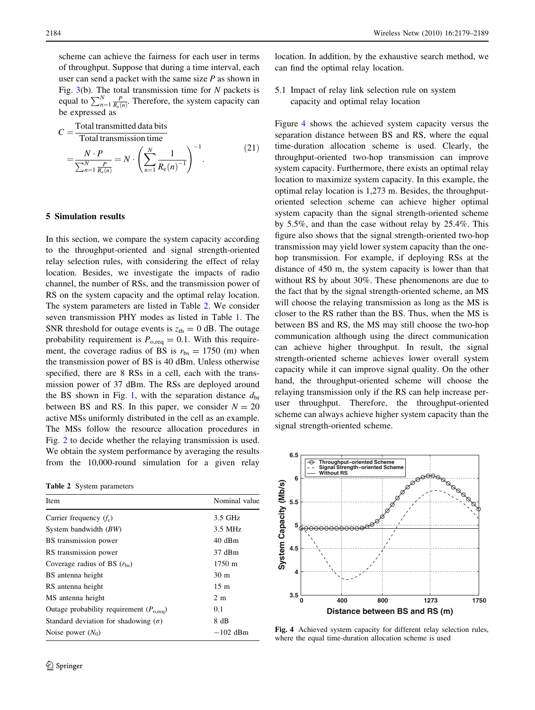<span id="page-5-0"></span>scheme can achieve the fairness for each user in terms of throughput. Suppose that during a time interval, each user can send a packet with the same size  $P$  as shown in Fig.  $3(b)$  $3(b)$ . The total transmission time for N packets is equal to  $\sum_{n=1}^{N} \frac{P}{R_e(n)}$ . Therefore, the system capacity can be expressed as

$$
C = \frac{\text{Total transmitted data bits}}{\text{Total transmission time}}
$$

Total transmission time  
\n
$$
= \frac{N \cdot P}{\sum_{n=1}^{N} \frac{P}{R_{e}(n)}} = N \cdot \left( \sum_{n=1}^{N} \frac{1}{R_{e}(n)^{-1}} \right)^{-1}.
$$
\n(21)

## 5 Simulation results

In this section, we compare the system capacity according to the throughput-oriented and signal strength-oriented relay selection rules, with considering the effect of relay location. Besides, we investigate the impacts of radio channel, the number of RSs, and the transmission power of RS on the system capacity and the optimal relay location. The system parameters are listed in Table 2. We consider seven transmission PHY modes as listed in Table [1](#page-4-0). The SNR threshold for outage events is  $z<sub>th</sub> = 0$  dB. The outage probability requirement is  $P_{\text{o,req}} = 0.1$ . With this requirement, the coverage radius of BS is  $r_{\text{bs}} = 1750$  (m) when the transmission power of BS is 40 dBm. Unless otherwise specified, there are 8 RSs in a cell, each with the transmission power of 37 dBm. The RSs are deployed around the BS shown in Fig. [1](#page-1-0), with the separation distance  $d_{\rm br}$ between BS and RS. In this paper, we consider  $N = 20$ active MSs uniformly distributed in the cell as an example. The MSs follow the resource allocation procedures in Fig. [2](#page-3-0) to decide whether the relaying transmission is used. We obtain the system performance by averaging the results from the 10,000-round simulation for a given relay

Table 2 System parameters

| Item                                                 | Nominal value   |
|------------------------------------------------------|-----------------|
| Carrier frequency $(f_c)$                            | 3.5 GHz         |
| System bandwidth $(BW)$                              | 3.5 MHz         |
| BS transmission power                                | 40 dBm          |
| RS transmission power                                | 37 dBm          |
| Coverage radius of BS $(r_{bs})$                     | 1750 m          |
| BS antenna height                                    | 30 <sub>m</sub> |
| RS antenna height                                    | $15 \text{ m}$  |
| MS antenna height                                    | 2 <sub>m</sub>  |
| Outage probability requirement $(P_{o, \text{req}})$ | 0.1             |
| Standard deviation for shadowing $(\sigma)$          | 8 dB            |
| Noise power $(N_0)$                                  | $-102$ dBm      |

location. In addition, by the exhaustive search method, we can find the optimal relay location.

5.1 Impact of relay link selection rule on system capacity and optimal relay location

Figure 4 shows the achieved system capacity versus the separation distance between BS and RS, where the equal time-duration allocation scheme is used. Clearly, the throughput-oriented two-hop transmission can improve system capacity. Furthermore, there exists an optimal relay location to maximize system capacity. In this example, the optimal relay location is 1,273 m. Besides, the throughputoriented selection scheme can achieve higher optimal system capacity than the signal strength-oriented scheme by 5.5%, and than the case without relay by 25.4%. This figure also shows that the signal strength-oriented two-hop transmission may yield lower system capacity than the onehop transmission. For example, if deploying RSs at the distance of 450 m, the system capacity is lower than that without RS by about 30%. These phenomenons are due to the fact that by the signal strength-oriented scheme, an MS will choose the relaying transmission as long as the MS is closer to the RS rather than the BS. Thus, when the MS is between BS and RS, the MS may still choose the two-hop communication although using the direct communication can achieve higher throughput. In result, the signal strength-oriented scheme achieves lower overall system capacity while it can improve signal quality. On the other hand, the throughput-oriented scheme will choose the relaying transmission only if the RS can help increase peruser throughput. Therefore, the throughput-oriented scheme can always achieve higher system capacity than the signal strength-oriented scheme.



Fig. 4 Achieved system capacity for different relay selection rules, where the equal time-duration allocation scheme is used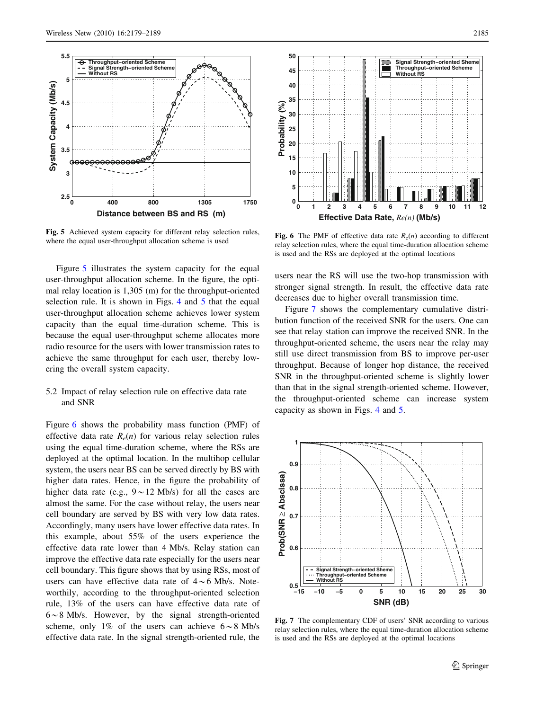<span id="page-6-0"></span>

Fig. 5 Achieved system capacity for different relay selection rules, where the equal user-throughput allocation scheme is used

Figure 5 illustrates the system capacity for the equal user-throughput allocation scheme. In the figure, the optimal relay location is 1,305 (m) for the throughput-oriented selection rule. It is shown in Figs. [4](#page-5-0) and 5 that the equal user-throughput allocation scheme achieves lower system capacity than the equal time-duration scheme. This is because the equal user-throughput scheme allocates more radio resource for the users with lower transmission rates to achieve the same throughput for each user, thereby lowering the overall system capacity.

## 5.2 Impact of relay selection rule on effective data rate and SNR

Figure 6 shows the probability mass function (PMF) of effective data rate  $R_e(n)$  for various relay selection rules using the equal time-duration scheme, where the RSs are deployed at the optimal location. In the multihop cellular system, the users near BS can be served directly by BS with higher data rates. Hence, in the figure the probability of higher data rate (e.g.,  $9 \sim 12$  Mb/s) for all the cases are almost the same. For the case without relay, the users near cell boundary are served by BS with very low data rates. Accordingly, many users have lower effective data rates. In this example, about 55% of the users experience the effective data rate lower than 4 Mb/s. Relay station can improve the effective data rate especially for the users near cell boundary. This figure shows that by using RSs, most of users can have effective data rate of  $4 \sim 6$  Mb/s. Noteworthily, according to the throughput-oriented selection rule, 13% of the users can have effective data rate of  $6 \sim 8$  Mb/s. However, by the signal strength-oriented scheme, only 1% of the users can achieve  $6 \sim 8$  Mb/s effective data rate. In the signal strength-oriented rule, the



**Fig. 6** The PMF of effective data rate  $R_e(n)$  according to different relay selection rules, where the equal time-duration allocation scheme is used and the RSs are deployed at the optimal locations

users near the RS will use the two-hop transmission with stronger signal strength. In result, the effective data rate decreases due to higher overall transmission time.

Figure 7 shows the complementary cumulative distribution function of the received SNR for the users. One can see that relay station can improve the received SNR. In the throughput-oriented scheme, the users near the relay may still use direct transmission from BS to improve per-user throughput. Because of longer hop distance, the received SNR in the throughput-oriented scheme is slightly lower than that in the signal strength-oriented scheme. However, the throughput-oriented scheme can increase system capacity as shown in Figs. [4](#page-5-0) and 5.



Fig. 7 The complementary CDF of users' SNR according to various relay selection rules, where the equal time-duration allocation scheme is used and the RSs are deployed at the optimal locations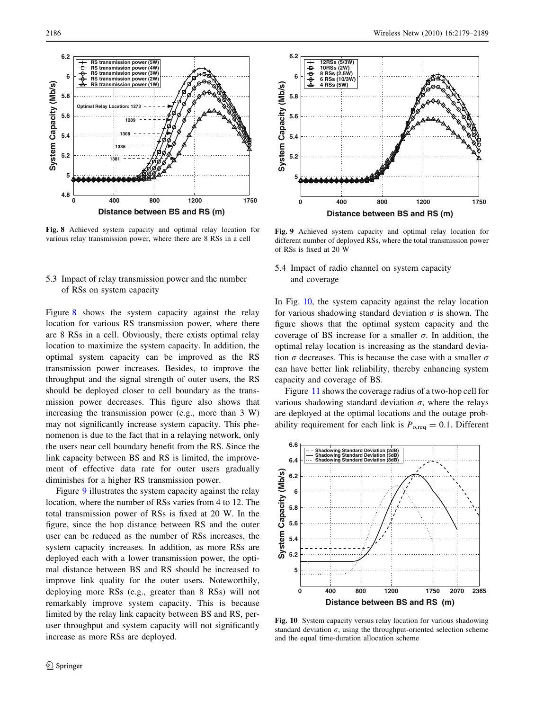**5.8**

**6**

<span id="page-7-0"></span>**6.2**



**RS transmission power (5W) RS transmission power (4W) RS transmission power (3W) RS transmission power (2W) RS transmission power (1W)**

**Optimal Relay Location: 1273**

Fig. 8 Achieved system capacity and optimal relay location for various relay transmission power, where there are 8 RSs in a cell

# 5.3 Impact of relay transmission power and the number of RSs on system capacity

Figure 8 shows the system capacity against the relay location for various RS transmission power, where there are 8 RSs in a cell. Obviously, there exists optimal relay location to maximize the system capacity. In addition, the optimal system capacity can be improved as the RS transmission power increases. Besides, to improve the throughput and the signal strength of outer users, the RS should be deployed closer to cell boundary as the transmission power decreases. This figure also shows that increasing the transmission power (e.g., more than 3 W) may not significantly increase system capacity. This phenomenon is due to the fact that in a relaying network, only the users near cell boundary benefit from the RS. Since the link capacity between BS and RS is limited, the improvement of effective data rate for outer users gradually diminishes for a higher RS transmission power.

Figure 9 illustrates the system capacity against the relay location, where the number of RSs varies from 4 to 12. The total transmission power of RSs is fixed at 20 W. In the figure, since the hop distance between RS and the outer user can be reduced as the number of RSs increases, the system capacity increases. In addition, as more RSs are deployed each with a lower transmission power, the optimal distance between BS and RS should be increased to improve link quality for the outer users. Noteworthily, deploying more RSs (e.g., greater than 8 RSs) will not remarkably improve system capacity. This is because limited by the relay link capacity between BS and RS, peruser throughput and system capacity will not significantly increase as more RSs are deployed.



Fig. 9 Achieved system capacity and optimal relay location for different number of deployed RSs, where the total transmission power of RSs is fixed at 20 W

5.4 Impact of radio channel on system capacity and coverage

In Fig. 10, the system capacity against the relay location for various shadowing standard deviation  $\sigma$  is shown. The figure shows that the optimal system capacity and the coverage of BS increase for a smaller  $\sigma$ . In addition, the optimal relay location is increasing as the standard deviation  $\sigma$  decreases. This is because the case with a smaller  $\sigma$ can have better link reliability, thereby enhancing system capacity and coverage of BS.

Figure [11](#page-8-0) shows the coverage radius of a two-hop cell for various shadowing standard deviation  $\sigma$ , where the relays are deployed at the optimal locations and the outage probability requirement for each link is  $P_{\text{o,req}} = 0.1$ . Different



Fig. 10 System capacity versus relay location for various shadowing standard deviation  $\sigma$ , using the throughput-oriented selection scheme and the equal time-duration allocation scheme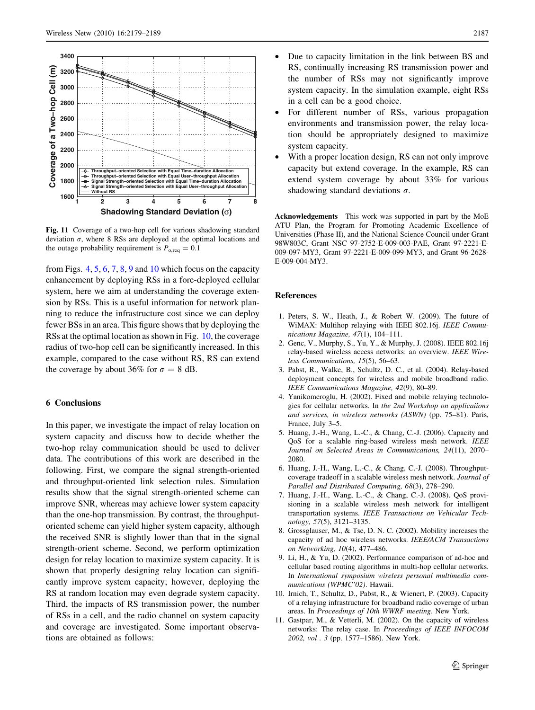<span id="page-8-0"></span>

Fig. 11 Coverage of a two-hop cell for various shadowing standard deviation  $\sigma$ , where 8 RSs are deployed at the optimal locations and the outage probability requirement is  $P_{\text{o,req}} = 0.1$ 

from Figs.  $4, 5, 6, 7, 8, 9$  $4, 5, 6, 7, 8, 9$  $4, 5, 6, 7, 8, 9$  $4, 5, 6, 7, 8, 9$  $4, 5, 6, 7, 8, 9$  $4, 5, 6, 7, 8, 9$  $4, 5, 6, 7, 8, 9$  $4, 5, 6, 7, 8, 9$  $4, 5, 6, 7, 8, 9$  $4, 5, 6, 7, 8, 9$  $4, 5, 6, 7, 8, 9$  and [10](#page-7-0) which focus on the capacity enhancement by deploying RSs in a fore-deployed cellular system, here we aim at understanding the coverage extension by RSs. This is a useful information for network planning to reduce the infrastructure cost since we can deploy fewer BSs in an area. This figure shows that by deploying the RSs at the optimal location as shown in Fig. [10,](#page-7-0) the coverage radius of two-hop cell can be significantly increased. In this example, compared to the case without RS, RS can extend the coverage by about 36% for  $\sigma = 8$  dB.

# 6 Conclusions

In this paper, we investigate the impact of relay location on system capacity and discuss how to decide whether the two-hop relay communication should be used to deliver data. The contributions of this work are described in the following. First, we compare the signal strength-oriented and throughput-oriented link selection rules. Simulation results show that the signal strength-oriented scheme can improve SNR, whereas may achieve lower system capacity than the one-hop transmission. By contrast, the throughputoriented scheme can yield higher system capacity, although the received SNR is slightly lower than that in the signal strength-orient scheme. Second, we perform optimization design for relay location to maximize system capacity. It is shown that properly designing relay location can significantly improve system capacity; however, deploying the RS at random location may even degrade system capacity. Third, the impacts of RS transmission power, the number of RSs in a cell, and the radio channel on system capacity and coverage are investigated. Some important observations are obtained as follows:

- Due to capacity limitation in the link between BS and RS, continually increasing RS transmission power and the number of RSs may not significantly improve system capacity. In the simulation example, eight RSs in a cell can be a good choice.
- For different number of RSs, various propagation environments and transmission power, the relay location should be appropriately designed to maximize system capacity.
- With a proper location design, RS can not only improve capacity but extend coverage. In the example, RS can extend system coverage by about 33% for various shadowing standard deviations  $\sigma$ .

Acknowledgements This work was supported in part by the MoE ATU Plan, the Program for Promoting Academic Excellence of Universities (Phase II), and the National Science Council under Grant 98W803C, Grant NSC 97-2752-E-009-003-PAE, Grant 97-2221-E-009-097-MY3, Grant 97-2221-E-009-099-MY3, and Grant 96-2628- E-009-004-MY3.

### References

- 1. Peters, S. W., Heath, J., & Robert W. (2009). The future of WiMAX: Multihop relaying with IEEE 802.16j. IEEE Communications Magazine, 47(1), 104–111.
- 2. Genc, V., Murphy, S., Yu, Y., & Murphy, J. (2008). IEEE 802.16j relay-based wireless access networks: an overview. IEEE Wireless Communications, 15(5), 56–63.
- 3. Pabst, R., Walke, B., Schultz, D. C., et al. (2004). Relay-based deployment concepts for wireless and mobile broadband radio. IEEE Communications Magazine, 42(9), 80–89.
- 4. Yanikomeroglu, H. (2002). Fixed and mobile relaying technologies for cellular networks. In the 2nd Workshop on applicaiions and services, in wireless networks (ASWN) (pp. 75–81). Paris, France, July 3–5.
- 5. Huang, J.-H., Wang, L.-C., & Chang, C.-J. (2006). Capacity and QoS for a scalable ring-based wireless mesh network. IEEE Journal on Selected Areas in Communications, 24(11), 2070– 2080.
- 6. Huang, J.-H., Wang, L.-C., & Chang, C.-J. (2008). Throughputcoverage tradeoff in a scalable wireless mesh network. Journal of Parallel and Distributed Computing, 68(3), 278–290.
- 7. Huang, J.-H., Wang, L.-C., & Chang, C.-J. (2008). QoS provisioning in a scalable wireless mesh network for intelligent transportation systems. IEEE Transactions on Vehicular Technology, 57(5), 3121–3135.
- 8. Grossglauser, M., & Tse, D. N. C. (2002). Mobility increases the capacity of ad hoc wireless networks. IEEE/ACM Transactions on Networking, 10(4), 477–486.
- 9. Li, H., & Yu, D. (2002). Performance comparison of ad-hoc and cellular based routing algorithms in multi-hop cellular networks. In International symposium wireless personal multimedia communications (WPMC'02). Hawaii.
- 10. Irnich, T., Schultz, D., Pabst, R., & Wienert, P. (2003). Capacity of a relaying infrastructure for broadband radio coverage of urban areas. In Proceedings of 10th WWRF meeting. New York.
- 11. Gastpar, M., & Vetterli, M. (2002). On the capacity of wireless networks: The relay case. In Proceedings of IEEE INFOCOM 2002, vol . 3 (pp. 1577–1586). New York.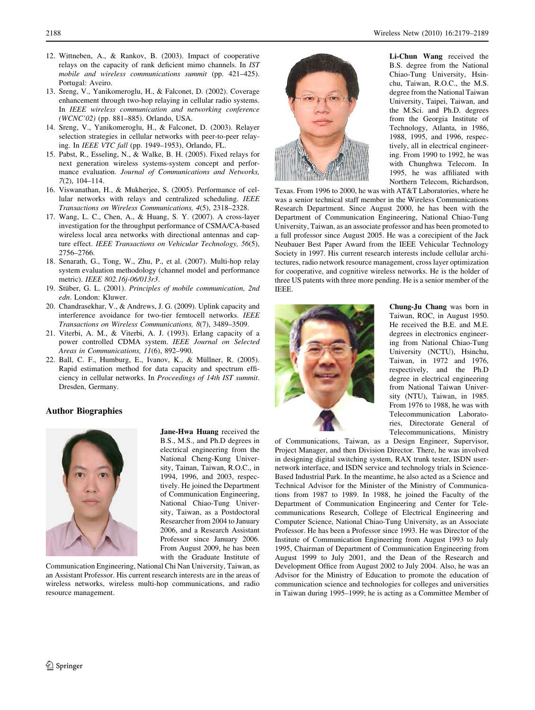- <span id="page-9-0"></span>12. Wittneben, A., & Rankov, B. (2003). Impact of cooperative relays on the capacity of rank deficient mimo channels. In IST mobile and wireless communications summit (pp. 421–425). Portugal: Aveiro.
- 13. Sreng, V., Yanikomeroglu, H., & Falconet, D. (2002). Coverage enhancement through two-hop relaying in cellular radio systems. In IEEE wireless communication and networking conference (WCNC'02) (pp. 881–885). Orlando, USA.
- 14. Sreng, V., Yanikomeroglu, H., & Falconet, D. (2003). Relayer selection strategies in cellular networks with peer-to-peer relaying. In IEEE VTC fall (pp. 1949–1953), Orlando, FL.
- 15. Pabst, R., Esseling, N., & Walke, B. H. (2005). Fixed relays for next generation wireless systems-system concept and performance evaluation. Journal of Communications and Networks, 7(2), 104–114.
- 16. Viswanathan, H., & Mukherjee, S. (2005). Performance of cellular networks with relays and centralized scheduling. IEEE Transactions on Wireless Communications, 4(5), 2318–2328.
- 17. Wang, L. C., Chen, A., & Huang, S. Y. (2007). A cross-layer investigation for the throughput performance of CSMA/CA-based wireless local area networks with directional antennas and capture effect. IEEE Transactions on Vehicular Technology, 56(5), 2756–2766.
- 18. Senarath, G., Tong, W., Zhu, P., et al. (2007). Multi-hop relay system evaluation methodology (channel model and performance metric). IEEE 802.16j-06/013r3.
- 19. Stüber, G. L. (2001). Principles of mobile communication, 2nd edn. London: Kluwer.
- 20. Chandrasekhar, V., & Andrews, J. G. (2009). Uplink capacity and interference avoidance for two-tier femtocell networks. *IEEE* Transactions on Wireless Communications, 8(7), 3489–3509.
- 21. Viterbi, A. M., & Viterbi, A. J. (1993). Erlang capacity of a power controlled CDMA system. IEEE Journal on Selected Areas in Communications, 11(6), 892–990.
- 22. Ball, C. F., Humburg, E., Ivanov, K., & Müllner, R. (2005). Rapid estimation method for data capacity and spectrum efficiency in cellular networks. In Proceedings of 14th IST summit. Dresden, Germany.

# Author Biographies



Jane-Hwa Huang received the B.S., M.S., and Ph.D degrees in electrical engineering from the National Cheng-Kung University, Tainan, Taiwan, R.O.C., in 1994, 1996, and 2003, respectively. He joined the Department of Communication Engineering, National Chiao-Tung University, Taiwan, as a Postdoctoral Researcher from 2004 to January 2006, and a Research Assistant Professor since January 2006. From August 2009, he has been with the Graduate Institute of

Communication Engineering, National Chi Nan University, Taiwan, as an Assistant Professor. His current research interests are in the areas of wireless networks, wireless multi-hop communications, and radio resource management.



Li-Chun Wang received the B.S. degree from the National Chiao-Tung University, Hsinchu, Taiwan, R.O.C., the M.S. degree from the National Taiwan University, Taipei, Taiwan, and the M.Sci. and Ph.D. degrees from the Georgia Institute of Technology, Atlanta, in 1986, 1988, 1995, and 1996, respectively, all in electrical engineering. From 1990 to 1992, he was with Chunghwa Telecom. In 1995, he was affiliated with Northern Telecom, Richardson,

Texas. From 1996 to 2000, he was with AT&T Laboratories, where he was a senior technical staff member in the Wireless Communications Research Department. Since August 2000, he has been with the Department of Communication Engineering, National Chiao-Tung University, Taiwan, as an associate professor and has been promoted to a full professor since August 2005. He was a corecipient of the Jack Neubauer Best Paper Award from the IEEE Vehicular Technology Society in 1997. His current research interests include cellular architectures, radio network resource management, cross layer optimization for cooperative, and cognitive wireless networks. He is the holder of three US patents with three more pending. He is a senior member of the IEEE.



Chung-Ju Chang was born in Taiwan, ROC, in August 1950. He received the B.E. and M.E. degrees in electronics engineering from National Chiao-Tung University (NCTU), Hsinchu, Taiwan, in 1972 and 1976, respectively, and the Ph.D degree in electrical engineering from National Taiwan University (NTU), Taiwan, in 1985. From 1976 to 1988, he was with Telecommunication Laboratories, Directorate General of Telecommunications, Ministry

of Communications, Taiwan, as a Design Engineer, Supervisor, Project Manager, and then Division Director. There, he was involved in designing digital switching system, RAX trunk tester, ISDN usernetwork interface, and ISDN service and technology trials in Science-Based Industrial Park. In the meantime, he also acted as a Science and Technical Advisor for the Minister of the Ministry of Communications from 1987 to 1989. In 1988, he joined the Faculty of the Department of Communication Engineering and Center for Telecommunications Research, College of Electrical Engineering and Computer Science, National Chiao-Tung University, as an Associate Professor. He has been a Professor since 1993. He was Director of the Institute of Communication Engineering from August 1993 to July 1995, Chairman of Department of Communication Engineering from August 1999 to July 2001, and the Dean of the Research and Development Office from August 2002 to July 2004. Also, he was an Advisor for the Ministry of Education to promote the education of communication science and technologies for colleges and universities in Taiwan during 1995–1999; he is acting as a Committee Member of